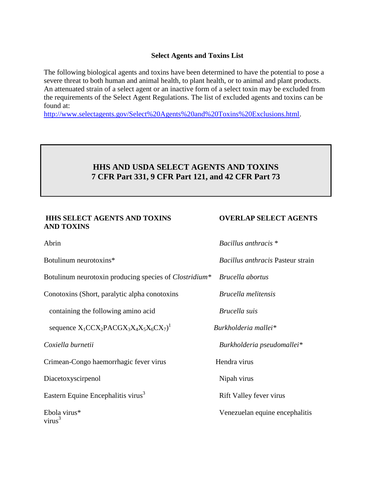### **Select Agents and Toxins List**

The following biological agents and toxins have been determined to have the potential to pose a severe threat to both human and animal health, to plant health, or to animal and plant products. An attenuated strain of a select agent or an inactive form of a select toxin may be excluded from the requirements of the Select Agent Regulations. The list of excluded agents and toxins can be found at:

[http://www.selectagents.gov/Select%20Agents%20and%20Toxins%20Exclusions.html.](http://www.selectagents.gov/Select%20Agents%20and%20Toxins%20Exclusions.html)

## **HHS AND USDA SELECT AGENTS AND TOXINS 7 CFR Part 331, 9 CFR Part 121, and 42 CFR Part 73**

## **HHS SELECT AGENTS AND TOXINS OVERLAP SELECT AGENTS AND TOXINS**

| Abrin                                                         | Bacillus anthracis *              |
|---------------------------------------------------------------|-----------------------------------|
| Botulinum neurotoxins*                                        | Bacillus anthracis Pasteur strain |
| Botulinum neurotoxin producing species of <i>Clostridium*</i> | Brucella abortus                  |
| Conotoxins (Short, paralytic alpha conotoxins)                | <i>Brucella melitensis</i>        |
| containing the following amino acid                           | Brucella suis                     |
| sequence $X_1CCX_2PACGX_3X_4X_5X_6CX_7)^1$                    | Burkholderia mallei*              |
| Coxiella burnetii                                             | Burkholderia pseudomallei*        |
| Crimean-Congo haemorrhagic fever virus                        | Hendra virus                      |
| Diacetoxyscirpenol                                            | Nipah virus                       |
| Eastern Equine Encephalitis virus <sup>3</sup>                | Rift Valley fever virus           |
| Ebola virus*<br>virus <sup>3</sup>                            | Venezuelan equine encephalitis    |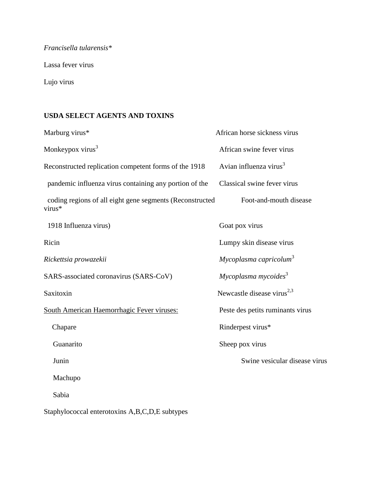# *Francisella tularensis\**

Lassa fever virus

Lujo virus

# **USDA SELECT AGENTS AND TOXINS**

| Marburg virus*                                                     | African horse sickness virus           |
|--------------------------------------------------------------------|----------------------------------------|
| Monkeypox virus <sup>3</sup>                                       | African swine fever virus              |
| Reconstructed replication competent forms of the 1918              | Avian influenza virus <sup>3</sup>     |
| pandemic influenza virus containing any portion of the             | Classical swine fever virus            |
| coding regions of all eight gene segments (Reconstructed<br>virus* | Foot-and-mouth disease                 |
| 1918 Influenza virus)                                              | Goat pox virus                         |
| Ricin                                                              | Lumpy skin disease virus               |
| Rickettsia prowazekii                                              | Mycoplasma capricolum <sup>3</sup>     |
| SARS-associated coronavirus (SARS-CoV)                             | Mycoplasma mycoides <sup>3</sup>       |
| Saxitoxin                                                          | Newcastle disease virus <sup>2,3</sup> |
| South American Haemorrhagic Fever viruses:                         | Peste des petits ruminants virus       |
| Chapare                                                            | Rinderpest virus*                      |
| Guanarito                                                          | Sheep pox virus                        |
| Junin                                                              | Swine vesicular disease virus          |
| Machupo                                                            |                                        |
| Sabia                                                              |                                        |
|                                                                    |                                        |

Staphylococcal enterotoxins A,B,C,D,E subtypes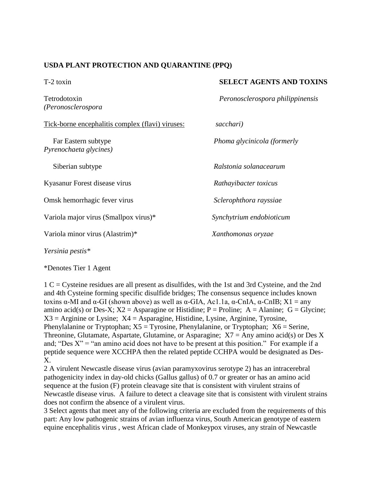### **USDA PLANT PROTECTION AND QUARANTINE (PPQ)**

*(Peronosclerospora*

Tick-borne encephalitis complex (flavi) viruses: *sacchari)*

*Pyrenochaeta glycines)*

Kyasanur Forest disease virus *Rathayibacter toxicus*

Omsk hemorrhagic fever virus *Sclerophthora rayssiae* 

Variola major virus (Smallpox virus)\* *Synchytrium endobioticum*

Variola minor virus (Alastrim)\* *Xanthomonas oryzae*

*Yersinia pestis\**

\*Denotes Tier 1 Agent

1 C = Cysteine residues are all present as disulfides, with the 1st and 3rd Cysteine, and the 2nd and 4th Cysteine forming specific disulfide bridges; The consensus sequence includes known toxins α-MI and α-GI (shown above) as well as α-GIA, Ac1.1a, α-CnIA, α-CnIB;  $X1 = any$ amino acid(s) or Des-X;  $X2 =$  Asparagine or Histidine; P = Proline; A = Alanine; G = Glycine;  $X3 =$  Arginine or Lysine;  $X4 =$  Asparagine, Histidine, Lysine, Arginine, Tyrosine, Phenylalanine or Tryptophan;  $X5 = Tyrosine$ , Phenylalanine, or Tryptophan;  $X6 =$  Serine, Threonine, Glutamate, Aspartate, Glutamine, or Asparagine;  $X7 = Any$  amino acid(s) or Des X and; "Des  $X$ " = "an amino acid does not have to be present at this position." For example if a peptide sequence were XCCHPA then the related peptide CCHPA would be designated as Des-X.

2 A virulent Newcastle disease virus (avian paramyxovirus serotype 2) has an intracerebral pathogenicity index in day-old chicks (Gallus gallus) of 0.7 or greater or has an amino acid sequence at the fusion (F) protein cleavage site that is consistent with virulent strains of Newcastle disease virus. A failure to detect a cleavage site that is consistent with virulent strains does not confirm the absence of a virulent virus.

3 Select agents that meet any of the following criteria are excluded from the requirements of this part: Any low pathogenic strains of avian influenza virus, South American genotype of eastern equine encephalitis virus , west African clade of Monkeypox viruses, any strain of Newcastle

### T-2 toxin **SELECT AGENTS AND TOXINS**

Tetrodotoxin *Peronosclerospora philippinensis* 

Far Eastern subtype *Phoma glycinicola (formerly* 

Siberian subtype *Ralstonia solanacearum*